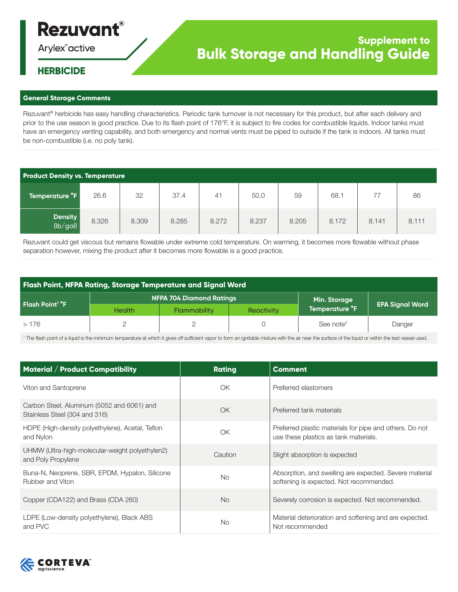# **Rezuvant®**

Arylex<sup>"</sup>active

## **Supplement to Bulk Storage and Handling Guide**

### **HERBICIDE**

#### **General Storage Comments**

Rezuvant<sup>®</sup> herbicide has easy handling characteristics. Periodic tank turnover is not necessary for this product, but after each delivery and prior to the use season is good practice. Due to its flash point of 176°F, it is subject to fire codes for combustible liquids. Indoor tanks must have an emergency venting capability, and both emergency and normal vents must be piped to outside if the tank is indoors. All tanks must be non-combustible (i.e. no poly tank).

| <b>Product Density vs. Temperature</b> |       |       |       |                |       |       |       |       |       |
|----------------------------------------|-------|-------|-------|----------------|-------|-------|-------|-------|-------|
| Temperature °F                         | 26.6  | 32    | 37.4  | 4 <sup>1</sup> | 50.0  | 59    | 68.   | 77    | 86    |
| <b>Density</b><br>(lb/gal)             | 8.326 | 8.309 | 8.285 | 8.272          | 8.237 | 8.205 | 8.172 | 8.141 | 8.111 |

Rezuvant could get viscous but remains flowable under extreme cold temperature. On warming, it becomes more flowable without phase separation however, mixing the product after it becomes more flowable is a good practice.

| <b>Flash Point, NFPA Rating, Storage Temperature and Signal Word</b> |               |                                 |                   |                       |                        |
|----------------------------------------------------------------------|---------------|---------------------------------|-------------------|-----------------------|------------------------|
| Flash Point <sup>1</sup> °F                                          |               | <b>NFPA 704 Diamond Ratings</b> | Min. Storage      |                       |                        |
|                                                                      | <b>Health</b> | <b>Flammability</b>             | <b>Reactivity</b> | Temperature °F        | <b>EPA Signal Word</b> |
| >176                                                                 |               |                                 |                   | See note <sup>2</sup> | Danger                 |

<sup>1</sup> The flash point of a liquid is the minimum temperature at which it gives off sufficient vapor to form an ignitable mixture with the air near the surface of the liquid or within the test vessel used.

| <b>Material / Product Compatibility</b>                                     | <b>Rating</b> | <b>Comment</b>                                                                                    |
|-----------------------------------------------------------------------------|---------------|---------------------------------------------------------------------------------------------------|
| Viton and Santoprene                                                        | OK            | Preferred elastomers                                                                              |
| Carbon Steel, Aluminum (5052 and 6061) and<br>Stainless Steel (304 and 316) | OK            | Preferred tank materials                                                                          |
| HDPE (High-density polyethylene), Acetal, Teflon<br>and Nylon               | OK            | Preferred plastic materials for pipe and others. Do not<br>use these plastics as tank materials.  |
| UHMW (Ultra-high-molecular-weight polyethylen2)<br>and Poly Propylene       | Caution       | Slight absorption is expected                                                                     |
| Buna-N, Neoprene, SBR, EPDM, Hypalon, Silicone<br>Rubber and Viton          | <b>No</b>     | Absorption, and swelling are expected. Severe material<br>softening is expected. Not recommended. |
| Copper (CDA122) and Brass (CDA 260)                                         | <b>No</b>     | Severely corrosion is expected. Not recommended.                                                  |
| LDPE (Low-density polyethylene), Black ABS<br>and PVC                       | No.           | Material deterioration and softening and are expected.<br>Not recommended                         |